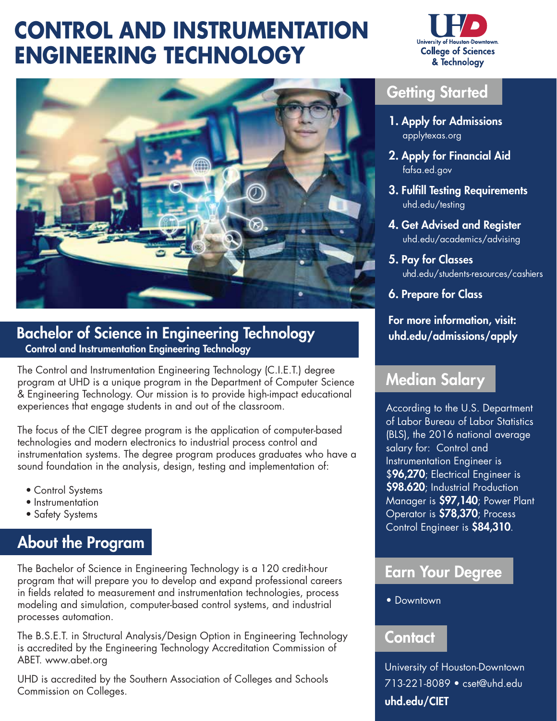# **CONTROL AND INSTRUMENTATION ENGINEERING TECHNOLOGY**





#### Bachelor of Science in Engineering Technology Control and Instrumentation Engineering Technology

The Control and Instrumentation Engineering Technology (C.I.E.T.) degree program at UHD is a unique program in the Department of Computer Science & Engineering Technology. Our mission is to provide high-impact educational experiences that engage students in and out of the classroom.

The focus of the CIET degree program is the application of computer-based technologies and modern electronics to industrial process control and instrumentation systems. The degree program produces graduates who have a sound foundation in the analysis, design, testing and implementation of:

- Control Systems
- Instrumentation
- Safety Systems

## About the Program

The Bachelor of Science in Engineering Technology is a 120 credit-hour program that will prepare you to develop and expand professional careers in fields related to measurement and instrumentation technologies, process modeling and simulation, computer-based control systems, and industrial processes automation.

The B.S.E.T. in Structural Analysis/Design Option in Engineering Technology is accredited by the Engineering Technology Accreditation Commission of ABET. <www.abet.org>

UHD is accredited by the Southern Association of Colleges and Schools Commission on Colleges.

#### Getting Started

- 1. Apply for Admissions [applytexas.org](https://applytexas.org)
- 2. Apply for Financial Aid [fafsa.ed.gov](https://fafsa.ed.gov)
- 3. Fulfill Testing Requirements [uhd.edu/testing](https://uhd.edu/testing)
- 4. Get Advised and Register [uhd.edu/academics/advising](https://uhd.edu/academics/advising)
- 5. Pay for Classes [uhd.edu/students-resources/cashiers](https://uhd.edu/students-resources/cashiers)
- 6. Prepare for Class

#### For more information, visit: [uhd.edu/admissions/apply](https://uhd.edu/admissions/apply)

#### Median Salary

According to the U.S. Department of Labor Bureau of Labor Statistics (BLS), the 2016 national average salary for: Control and Instrumentation Engineer is \$96,270; Electrical Engineer is \$98.620; Industrial Production Manager is \$97,140; Power Plant Operator is \$78,370; Process Control Engineer is \$84,310.

#### Earn Your Degree

• Downtown

#### **Contact**

University of Houston-Downtown 713-221-8089 • [cset@uhd.edu](mailto:cset@uhd.edu) [uhd.edu/CIET](https://uhd.edu/CIET)